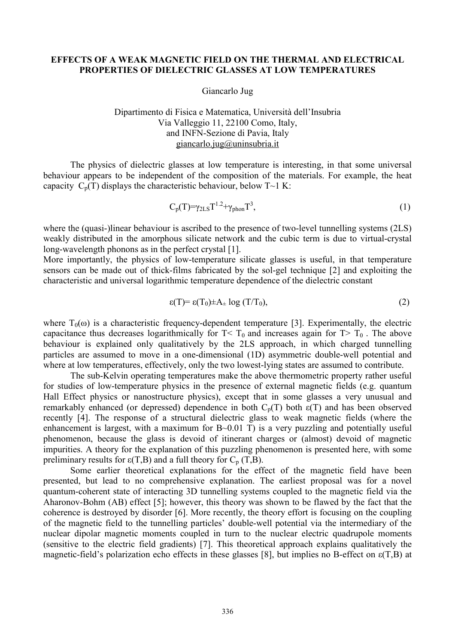## **EFFECTS OF A WEAK MAGNETIC FIELD ON THE THERMAL AND ELECTRICAL PROPERTIES OF DIELECTRIC GLASSES AT LOW TEMPERATURES**

Giancarlo Jug

## Dipartimento di Fisica e Matematica, Università dell'Insubria Via Valleggio 11, 22100 Como, Italy, and INFN-Sezione di Pavia, Italy [giancarlo.jug@uninsubria.it](mailto:giancarlo.jug@uninsubria.it)

The physics of dielectric glasses at low temperature is interesting, in that some universal behaviour appears to be independent of the composition of the materials. For example, the heat capacity  $C_p(T)$  displays the characteristic behaviour, below  $T \sim 1$  K:

$$
C_p(T) = \gamma_{2LS} T^{1.2} + \gamma_{phon} T^3, \tag{1}
$$

where the (quasi-)linear behaviour is ascribed to the presence of two-level tunnelling systems (2LS) weakly distributed in the amorphous silicate network and the cubic term is due to virtual-crystal long-wavelength phonons as in the perfect crystal [1].

More importantly, the physics of low-temperature silicate glasses is useful, in that temperature sensors can be made out of thick-films fabricated by the sol-gel technique [2] and exploiting the characteristic and universal logarithmic temperature dependence of the dielectric constant

$$
\varepsilon(T) = \varepsilon(T_0) \pm A_{\pm} \log(T/T_0),\tag{2}
$$

where  $T_0(\omega)$  is a characteristic frequency-dependent temperature [3]. Experimentally, the electric capacitance thus decreases logarithmically for  $T < T_0$  and increases again for  $T > T_0$ . The above behaviour is explained only qualitatively by the 2LS approach, in which charged tunnelling particles are assumed to move in a one-dimensional (1D) asymmetric double-well potential and where at low temperatures, effectively, only the two lowest-lying states are assumed to contribute.

The sub-Kelvin operating temperatures make the above thermometric property rather useful for studies of low-temperature physics in the presence of external magnetic fields (e.g. quantum Hall Effect physics or nanostructure physics), except that in some glasses a very unusual and remarkably enhanced (or depressed) dependence in both  $C_p(T)$  both  $\epsilon(T)$  and has been observed recently [4]. The response of a structural dielectric glass to weak magnetic fields (where the enhancement is largest, with a maximum for B~0.01 T) is a very puzzling and potentially useful phenomenon, because the glass is devoid of itinerant charges or (almost) devoid of magnetic impurities. A theory for the explanation of this puzzling phenomenon is presented here, with some preliminary results for  $\varepsilon(T,B)$  and a full theory for  $C_p(T,B)$ .

Some earlier theoretical explanations for the effect of the magnetic field have been presented, but lead to no comprehensive explanation. The earliest proposal was for a novel quantum-coherent state of interacting 3D tunnelling systems coupled to the magnetic field via the Aharonov-Bohm (AB) effect [5]; however, this theory was shown to be flawed by the fact that the coherence is destroyed by disorder [6]. More recently, the theory effort is focusing on the coupling of the magnetic field to the tunnelling particles' double-well potential via the intermediary of the nuclear dipolar magnetic moments coupled in turn to the nuclear electric quadrupole moments (sensitive to the electric field gradients) [7]. This theoretical approach explains qualitatively the magnetic-field's polarization echo effects in these glasses [8], but implies no B-effect on ε(T,B) at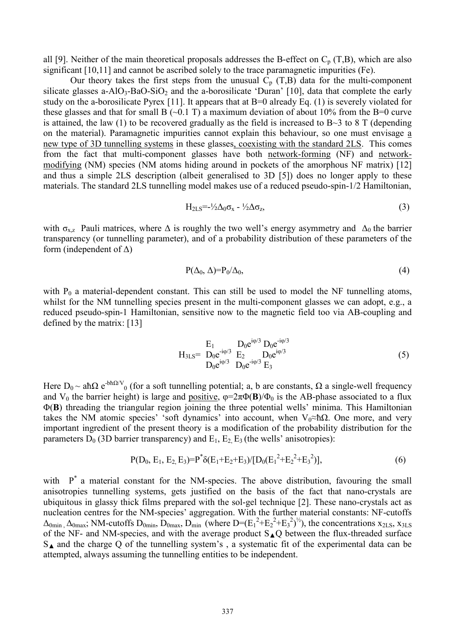all [9]. Neither of the main theoretical proposals addresses the B-effect on  $C_p$  (T,B), which are also significant [10,11] and cannot be ascribed solely to the trace paramagnetic impurities (Fe).

Our theory takes the first steps from the unusual  $C_p(T,B)$  data for the multi-component silicate glasses a-AlO<sub>3</sub>-BaO-SiO<sub>2</sub> and the a-borosilicate 'Duran' [10], data that complete the early study on the a-borosilicate Pyrex [11]. It appears that at B=0 already Eq. (1) is severely violated for these glasses and that for small B  $(\sim 0.1 \text{ T})$  a maximum deviation of about 10% from the B=0 curve is attained, the law (1) to be recovered gradually as the field is increased to  $B \sim 3$  to 8 T (depending on the material). Paramagnetic impurities cannot explain this behaviour, so one must envisage a new type of 3D tunnelling systems in these glasses, coexisting with the standard 2LS. This comes from the fact that multi-component glasses have both network-forming (NF) and networkmodifying (NM) species (NM atoms hiding around in pockets of the amorphous NF matrix) [12] and thus a simple 2LS description (albeit generalised to 3D [5]) does no longer apply to these materials. The standard 2LS tunnelling model makes use of a reduced pseudo-spin-1/2 Hamiltonian,

$$
H_{2LS} = \frac{1}{2}\Delta_0 \sigma_x - \frac{1}{2}\Delta \sigma_z, \tag{3}
$$

with  $\sigma_{x,z}$  Pauli matrices, where  $\Delta$  is roughly the two well's energy asymmetry and  $\Delta_0$  the barrier transparency (or tunnelling parameter), and of a probability distribution of these parameters of the form (independent of  $\Delta$ )

$$
P(\Delta_0, \Delta) = P_0/\Delta_0,\tag{4}
$$

with  $P_0$  a material-dependent constant. This can still be used to model the NF tunnelling atoms, whilst for the NM tunnelling species present in the multi-component glasses we can adopt, e.g., a reduced pseudo-spin-1 Hamiltonian, sensitive now to the magnetic field too via AB-coupling and defined by the matrix: [13]

$$
H_{3LS} = \frac{E_1}{D_0 e^{i\varphi/3}} \frac{D_0 e^{i\varphi/3}}{E_2} \frac{D_0 e^{i\varphi/3}}{D_0 e^{i\varphi/3}}
$$
(5)  

$$
D_0 e^{i\varphi/3} \frac{D_0 e^{-i\varphi/3}}{E_3}
$$

Here  $D_0 \sim ah\Omega e^{-bh\Omega/V}$  (for a soft tunnelling potential; a, b are constants,  $\Omega$  a single-well frequency and V<sub>0</sub> the barrier height) is large and positive,  $\varphi = 2\pi \Phi(\mathbf{B})/\Phi_0$  is the AB-phase associated to a flux Φ(**B**) threading the triangular region joining the three potential wells' minima. This Hamiltonian takes the NM atomic species' 'soft dynamics' into account, when  $V_0 \approx \hbar \Omega$ . One more, and very important ingredient of the present theory is a modification of the probability distribution for the parameters  $D_0$  (3D barrier transparency) and  $E_1$ ,  $E_2$ ,  $E_3$  (the wells' anisotropies):

$$
P(D_0, E_1, E_2, E_3) = P^* \delta(E_1 + E_2 + E_3) / [D_0 (E_1^2 + E_2^2 + E_3^2)],
$$
\n
$$
(6)
$$

with  $P^*$  a material constant for the NM-species. The above distribution, favouring the small anisotropies tunnelling systems, gets justified on the basis of the fact that nano-crystals are ubiquitous in glassy thick films prepared with the sol-gel technique [2]. These nano-crystals act as nucleation centres for the NM-species' aggregation. With the further material constants: NF-cutoffs  $\Delta_{\text{0min}}$ ,  $\Delta_{\text{0max}}$ ; NM-cutoffs  $D_{\text{0min}}$ ,  $D_{\text{0max}}$ ,  $D_{\text{min}}$  (where  $D=(E_1^2+E_2^2+E_3^2)^{1/2}$ ), the concentrations  $x_{2LS}$ ,  $x_{3LS}$ of the NF- and NM-species, and with the average product  $S_A Q$  between the flux-threaded surface  $S_{\blacktriangle}$  and the charge Q of the tunnelling system's, a systematic fit of the experimental data can be attempted, always assuming the tunnelling entities to be independent.